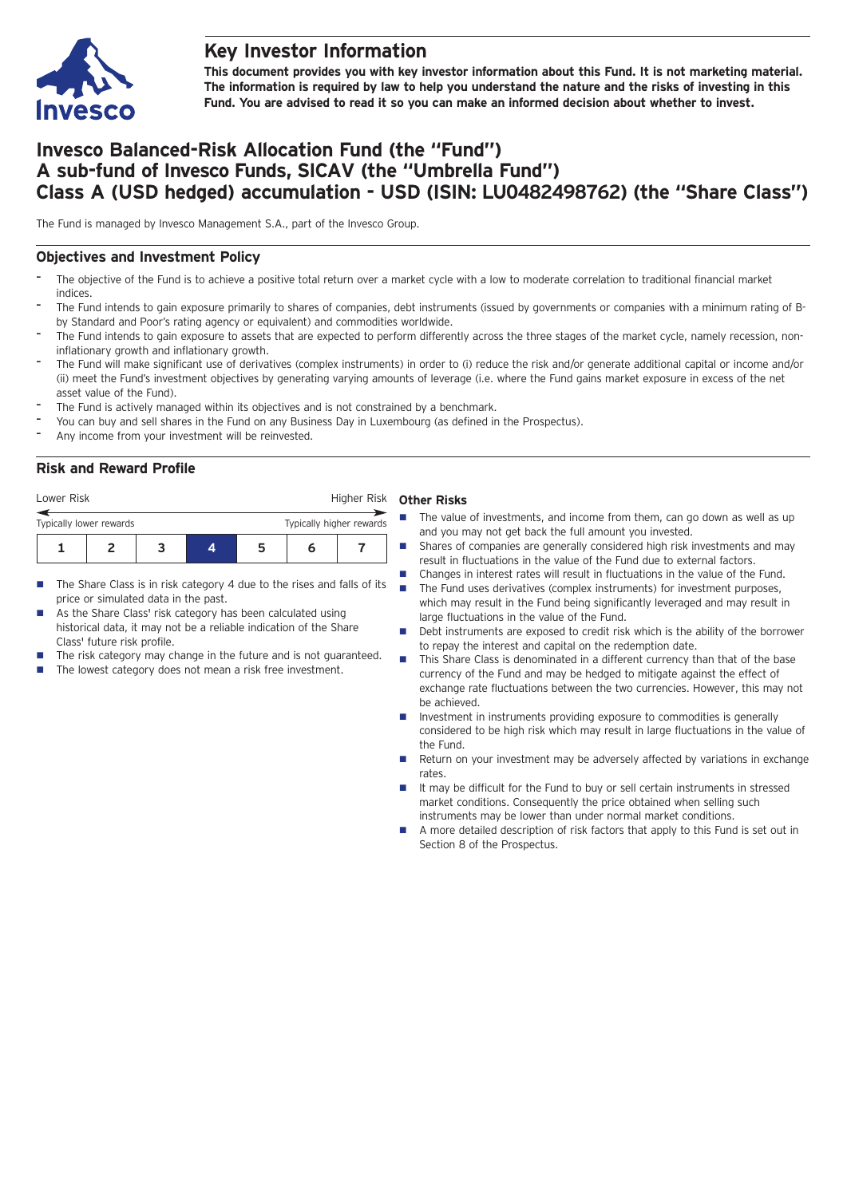

## **Key Investor Information**

**This document provides you with key investor information about this Fund. It is not marketing material.** The information is required by law to help you understand the nature and the risks of investing in this **Fund. You are advised to read it so you can make an informed decision about whether to invest.**

# **Invesco Balanced-Risk Allocation Fund (the "Fund") A sub-fund of Invesco Funds, SICAV (the "Umbrella Fund") Class A (USD hedged) accumulation - USD (ISIN: LU0482498762) (the "Share Class")**

The Fund is managed by Invesco Management S.A., part of the Invesco Group.

#### **Objectives and Investment Policy**

- The objective of the Fund is to achieve a positive total return over a market cycle with a low to moderate correlation to traditional financial market indices
- The Fund intends to gain exposure primarily to shares of companies, debt instruments (issued by governments or companies with a minimum rating of Bby Standard and Poor's rating agency or equivalent) and commodities worldwide.
- The Fund intends to gain exposure to assets that are expected to perform differently across the three stages of the market cycle, namely recession, noninflationary growth and inflationary growth.
- The Fund will make significant use of derivatives (complex instruments) in order to (i) reduce the risk and/or generate additional capital or income and/or (ii) meet the Fund's investment objectives by generating varying amounts of leverage (i.e. where the Fund gains market exposure in excess of the net asset value of the Fund).
- The Fund is actively managed within its objectives and is not constrained by a benchmark.
- You can buy and sell shares in the Fund on any Business Day in Luxembourg (as defined in the Prospectus).
- Any income from your investment will be reinvested.

#### **Risk and Reward Profile**

| Lower Risk              |  |  |   |    | Higher Risk              |  |  |
|-------------------------|--|--|---|----|--------------------------|--|--|
| Typically lower rewards |  |  |   |    | Typically higher rewards |  |  |
|                         |  |  | Д | 'n |                          |  |  |

- $\blacksquare$  The Share Class is in risk category 4 due to the rises and falls of its price or simulated data in the past.
- As the Share Class' risk category has been calculated using historical data, it may not be a reliable indication of the Share Class' future risk profile.
- The risk category may change in the future and is not guaranteed.
- The lowest category does not mean a risk free investment.

#### **Other Risks**

- $\blacksquare$  The value of investments, and income from them, can go down as well as up and you may not get back the full amount you invested.
- Shares of companies are generally considered high risk investments and may result in fluctuations in the value of the Fund due to external factors.
- Changes in interest rates will result in fluctuations in the value of the Fund.  $\blacksquare$  The Fund uses derivatives (complex instruments) for investment purposes, which may result in the Fund being significantly leveraged and may result in large fluctuations in the value of the Fund.
- n Debt instruments are exposed to credit risk which is the ability of the borrower to repay the interest and capital on the redemption date.
- This Share Class is denominated in a different currency than that of the base currency of the Fund and may be hedged to mitigate against the effect of exchange rate fluctuations between the two currencies. However, this may not be achieved.
- $\blacksquare$  Investment in instruments providing exposure to commodities is generally considered to be high risk which may result in large fluctuations in the value of the Fund.
- Return on your investment may be adversely affected by variations in exchange rates.
- It may be difficult for the Fund to buy or sell certain instruments in stressed market conditions. Consequently the price obtained when selling such instruments may be lower than under normal market conditions.
- n A more detailed description of risk factors that apply to this Fund is set out in Section 8 of the Prospectus.